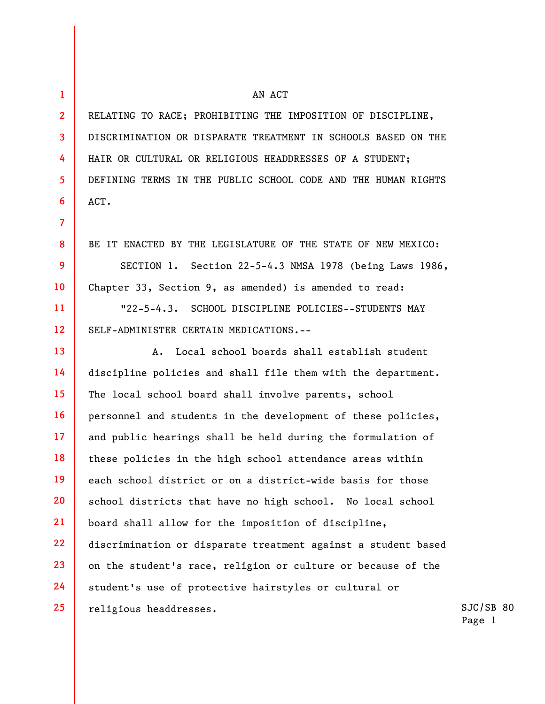ACT.

1

2

3

4

5

6

7

8

9

10

11

12

## 13 14 15 16 17 18 19 20 21 22 23 24 25 A. Local school boards shall establish student discipline policies and shall file them with the department. The local school board shall involve parents, school personnel and students in the development of these policies, and public hearings shall be held during the formulation of these policies in the high school attendance areas within each school district or on a district-wide basis for those school districts that have no high school. No local school board shall allow for the imposition of discipline, discrimination or disparate treatment against a student based on the student's race, religion or culture or because of the student's use of protective hairstyles or cultural or religious headdresses.

DEFINING TERMS IN THE PUBLIC SCHOOL CODE AND THE HUMAN RIGHTS

RELATING TO RACE; PROHIBITING THE IMPOSITION OF DISCIPLINE, DISCRIMINATION OR DISPARATE TREATMENT IN SCHOOLS BASED ON THE HAIR OR CULTURAL OR RELIGIOUS HEADDRESSES OF A STUDENT;

AN ACT

BE IT ENACTED BY THE LEGISLATURE OF THE STATE OF NEW MEXICO:

SECTION 1. Section 22-5-4.3 NMSA 1978 (being Laws 1986, Chapter 33, Section 9, as amended) is amended to read:

"22-5-4.3. SCHOOL DISCIPLINE POLICIES--STUDENTS MAY SELF-ADMINISTER CERTAIN MEDICATIONS.--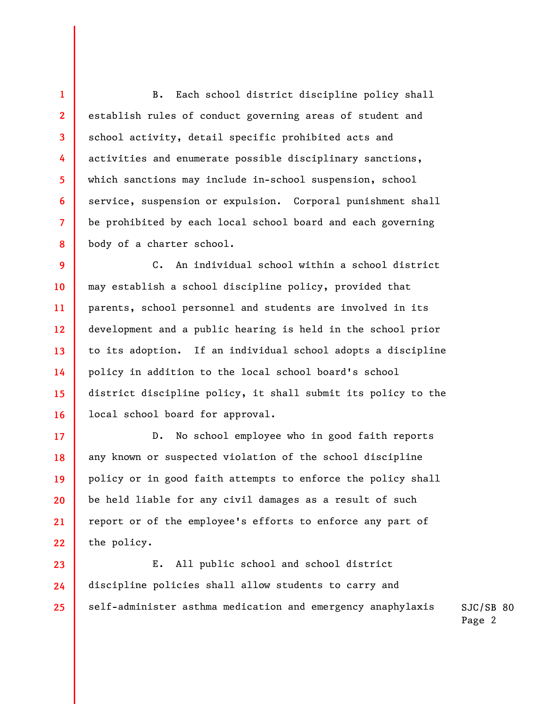B. Each school district discipline policy shall establish rules of conduct governing areas of student and school activity, detail specific prohibited acts and activities and enumerate possible disciplinary sanctions, which sanctions may include in-school suspension, school service, suspension or expulsion. Corporal punishment shall be prohibited by each local school board and each governing body of a charter school.

1

2

3

4

5

6

7

8

17

18

19

20

21

22

9 10 11 12 13 14 15 16 C. An individual school within a school district may establish a school discipline policy, provided that parents, school personnel and students are involved in its development and a public hearing is held in the school prior to its adoption. If an individual school adopts a discipline policy in addition to the local school board's school district discipline policy, it shall submit its policy to the local school board for approval.

D. No school employee who in good faith reports any known or suspected violation of the school discipline policy or in good faith attempts to enforce the policy shall be held liable for any civil damages as a result of such report or of the employee's efforts to enforce any part of the policy.

SJC/SB 80 23 24 25 E. All public school and school district discipline policies shall allow students to carry and self-administer asthma medication and emergency anaphylaxis

Page 2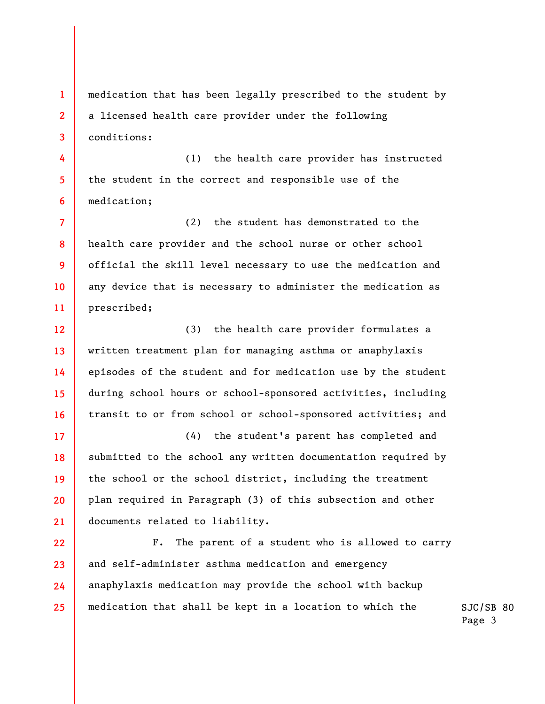1 2 3 medication that has been legally prescribed to the student by a licensed health care provider under the following conditions:

4 5 6 (1) the health care provider has instructed the student in the correct and responsible use of the medication;

7 8 9 10 11 (2) the student has demonstrated to the health care provider and the school nurse or other school official the skill level necessary to use the medication and any device that is necessary to administer the medication as prescribed;

12 13 14 15 16 (3) the health care provider formulates a written treatment plan for managing asthma or anaphylaxis episodes of the student and for medication use by the student during school hours or school-sponsored activities, including transit to or from school or school-sponsored activities; and

(4) the student's parent has completed and submitted to the school any written documentation required by the school or the school district, including the treatment plan required in Paragraph (3) of this subsection and other documents related to liability.

17

18

19

20

21

22 23 24 25 F. The parent of a student who is allowed to carry and self-administer asthma medication and emergency anaphylaxis medication may provide the school with backup medication that shall be kept in a location to which the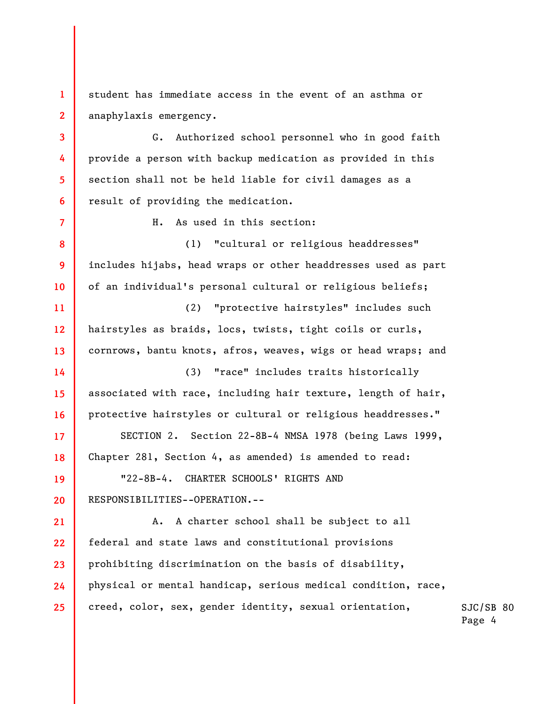1 2 student has immediate access in the event of an asthma or anaphylaxis emergency.

3

4

5

6

7

8

9

10

17

18

19

20

G. Authorized school personnel who in good faith provide a person with backup medication as provided in this section shall not be held liable for civil damages as a result of providing the medication.

H. As used in this section:

(1) "cultural or religious headdresses" includes hijabs, head wraps or other headdresses used as part of an individual's personal cultural or religious beliefs;

11 12 13 (2) "protective hairstyles" includes such hairstyles as braids, locs, twists, tight coils or curls, cornrows, bantu knots, afros, weaves, wigs or head wraps; and

14 15 16 (3) "race" includes traits historically associated with race, including hair texture, length of hair, protective hairstyles or cultural or religious headdresses."

SECTION 2. Section 22-8B-4 NMSA 1978 (being Laws 1999, Chapter 281, Section 4, as amended) is amended to read:

"22-8B-4. CHARTER SCHOOLS' RIGHTS AND RESPONSIBILITIES--OPERATION.--

SJC/SB 80 21 22 23 24 25 A. A charter school shall be subject to all federal and state laws and constitutional provisions prohibiting discrimination on the basis of disability, physical or mental handicap, serious medical condition, race, creed, color, sex, gender identity, sexual orientation,

Page 4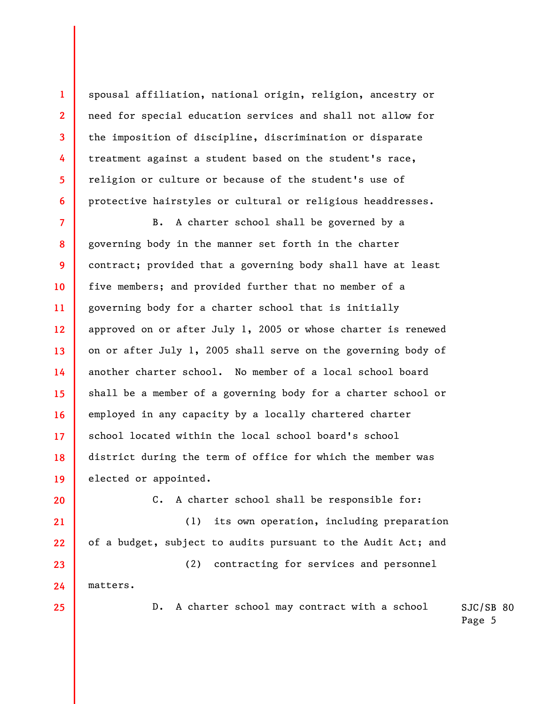spousal affiliation, national origin, religion, ancestry or need for special education services and shall not allow for the imposition of discipline, discrimination or disparate treatment against a student based on the student's race, religion or culture or because of the student's use of protective hairstyles or cultural or religious headdresses.

7 8 9 10 11 12 13 14 15 16 17 18 19 B. A charter school shall be governed by a governing body in the manner set forth in the charter contract; provided that a governing body shall have at least five members; and provided further that no member of a governing body for a charter school that is initially approved on or after July 1, 2005 or whose charter is renewed on or after July 1, 2005 shall serve on the governing body of another charter school. No member of a local school board shall be a member of a governing body for a charter school or employed in any capacity by a locally chartered charter school located within the local school board's school district during the term of office for which the member was elected or appointed.

20 21

22

1

2

3

4

5

6

C. A charter school shall be responsible for:

(1) its own operation, including preparation of a budget, subject to audits pursuant to the Audit Act; and

23 24 (2) contracting for services and personnel matters.

25

D. A charter school may contract with a school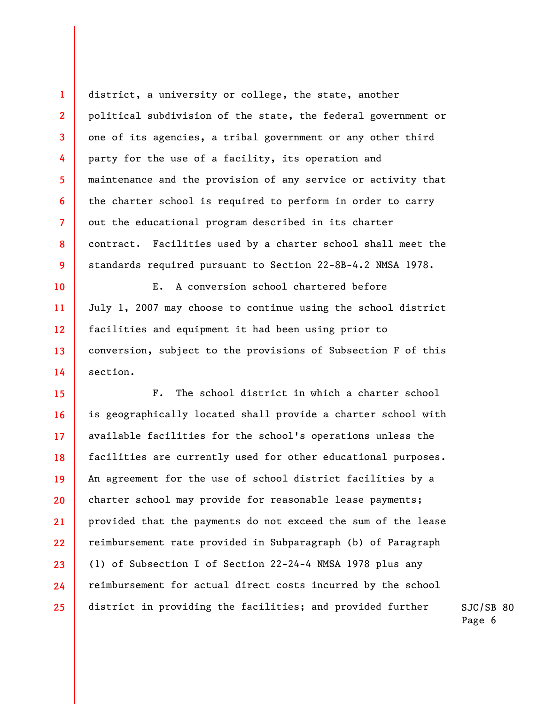district, a university or college, the state, another political subdivision of the state, the federal government or one of its agencies, a tribal government or any other third party for the use of a facility, its operation and maintenance and the provision of any service or activity that the charter school is required to perform in order to carry out the educational program described in its charter contract. Facilities used by a charter school shall meet the standards required pursuant to Section 22-8B-4.2 NMSA 1978.

1

2

3

4

5

6

7

8

9

10

11

12

13

14

E. A conversion school chartered before July 1, 2007 may choose to continue using the school district facilities and equipment it had been using prior to conversion, subject to the provisions of Subsection F of this section.

15 16 17 18 19 20 21 22 23 24 25 F. The school district in which a charter school is geographically located shall provide a charter school with available facilities for the school's operations unless the facilities are currently used for other educational purposes. An agreement for the use of school district facilities by a charter school may provide for reasonable lease payments; provided that the payments do not exceed the sum of the lease reimbursement rate provided in Subparagraph (b) of Paragraph (1) of Subsection I of Section 22-24-4 NMSA 1978 plus any reimbursement for actual direct costs incurred by the school district in providing the facilities; and provided further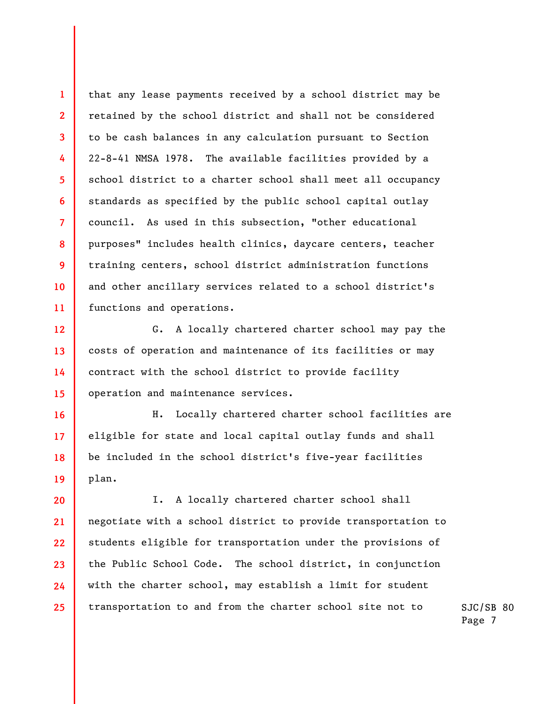3 4 5 6 8 11 that any lease payments received by a school district may be retained by the school district and shall not be considered to be cash balances in any calculation pursuant to Section 22-8-41 NMSA 1978. The available facilities provided by a school district to a charter school shall meet all occupancy standards as specified by the public school capital outlay council. As used in this subsection, "other educational purposes" includes health clinics, daycare centers, teacher training centers, school district administration functions and other ancillary services related to a school district's functions and operations.

1

2

7

9

10

12

13

14

15

16

17

18

19

G. A locally chartered charter school may pay the costs of operation and maintenance of its facilities or may contract with the school district to provide facility operation and maintenance services.

H. Locally chartered charter school facilities are eligible for state and local capital outlay funds and shall be included in the school district's five-year facilities plan.

20 21 22 23 24 25 I. A locally chartered charter school shall negotiate with a school district to provide transportation to students eligible for transportation under the provisions of the Public School Code. The school district, in conjunction with the charter school, may establish a limit for student transportation to and from the charter school site not to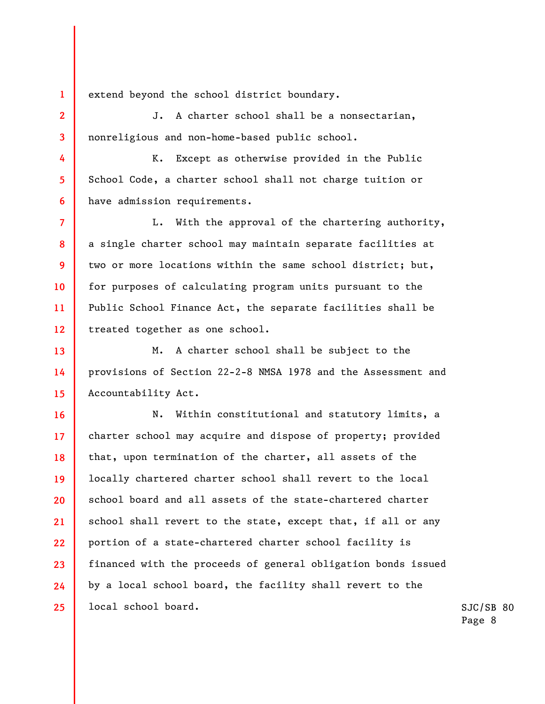extend beyond the school district boundary.

1

2

3

4

5

6

7

8

9

10

11

12

J. A charter school shall be a nonsectarian, nonreligious and non-home-based public school.

K. Except as otherwise provided in the Public School Code, a charter school shall not charge tuition or have admission requirements.

L. With the approval of the chartering authority, a single charter school may maintain separate facilities at two or more locations within the same school district; but, for purposes of calculating program units pursuant to the Public School Finance Act, the separate facilities shall be treated together as one school.

13 14 15 M. A charter school shall be subject to the provisions of Section 22-2-8 NMSA 1978 and the Assessment and Accountability Act.

16 17 18 19 20 21 22 23 24 25 N. Within constitutional and statutory limits, a charter school may acquire and dispose of property; provided that, upon termination of the charter, all assets of the locally chartered charter school shall revert to the local school board and all assets of the state-chartered charter school shall revert to the state, except that, if all or any portion of a state-chartered charter school facility is financed with the proceeds of general obligation bonds issued by a local school board, the facility shall revert to the local school board.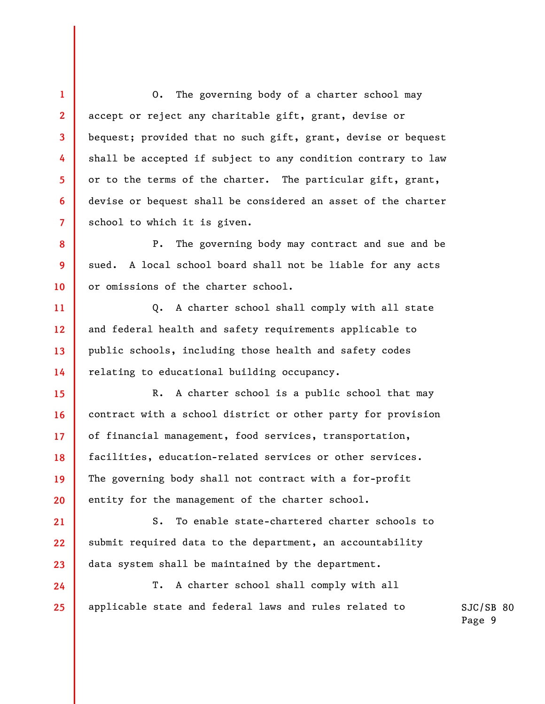3 4 6 O. The governing body of a charter school may accept or reject any charitable gift, grant, devise or bequest; provided that no such gift, grant, devise or bequest shall be accepted if subject to any condition contrary to law or to the terms of the charter. The particular gift, grant, devise or bequest shall be considered an asset of the charter school to which it is given.

1

2

5

7

8

9

10

11

12

13

14

15

16

17

18

19

20

21

22

23

24

25

P. The governing body may contract and sue and be sued. A local school board shall not be liable for any acts or omissions of the charter school.

Q. A charter school shall comply with all state and federal health and safety requirements applicable to public schools, including those health and safety codes relating to educational building occupancy.

R. A charter school is a public school that may contract with a school district or other party for provision of financial management, food services, transportation, facilities, education-related services or other services. The governing body shall not contract with a for-profit entity for the management of the charter school.

S. To enable state-chartered charter schools to submit required data to the department, an accountability data system shall be maintained by the department.

T. A charter school shall comply with all applicable state and federal laws and rules related to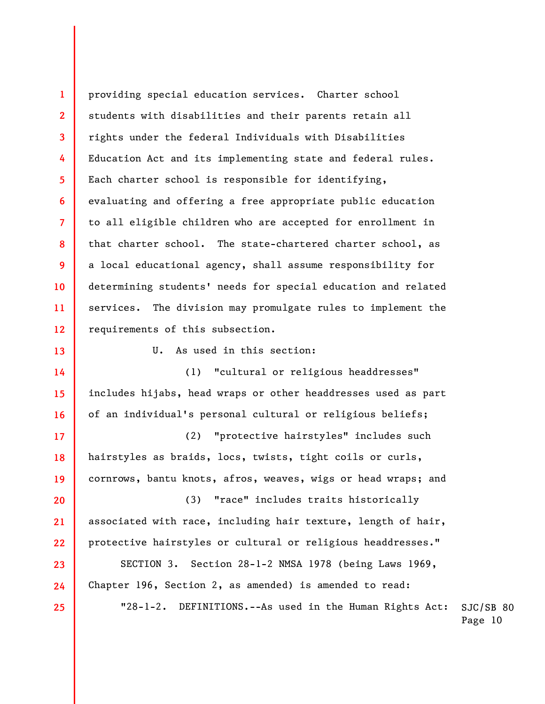1 2 3 4 5 6 7 8 9 10 11 12 providing special education services. Charter school students with disabilities and their parents retain all rights under the federal Individuals with Disabilities Education Act and its implementing state and federal rules. Each charter school is responsible for identifying, evaluating and offering a free appropriate public education to all eligible children who are accepted for enrollment in that charter school. The state-chartered charter school, as a local educational agency, shall assume responsibility for determining students' needs for special education and related services. The division may promulgate rules to implement the requirements of this subsection.

U. As used in this section:

13

14

15

16

17

18

19

23

24

25

(1) "cultural or religious headdresses" includes hijabs, head wraps or other headdresses used as part of an individual's personal cultural or religious beliefs;

(2) "protective hairstyles" includes such hairstyles as braids, locs, twists, tight coils or curls, cornrows, bantu knots, afros, weaves, wigs or head wraps; and

20 21 22 (3) "race" includes traits historically associated with race, including hair texture, length of hair, protective hairstyles or cultural or religious headdresses."

SECTION 3. Section 28-1-2 NMSA 1978 (being Laws 1969, Chapter 196, Section 2, as amended) is amended to read:

> SJC/SB 80 Page 10 "28-1-2. DEFINITIONS.--As used in the Human Rights Act: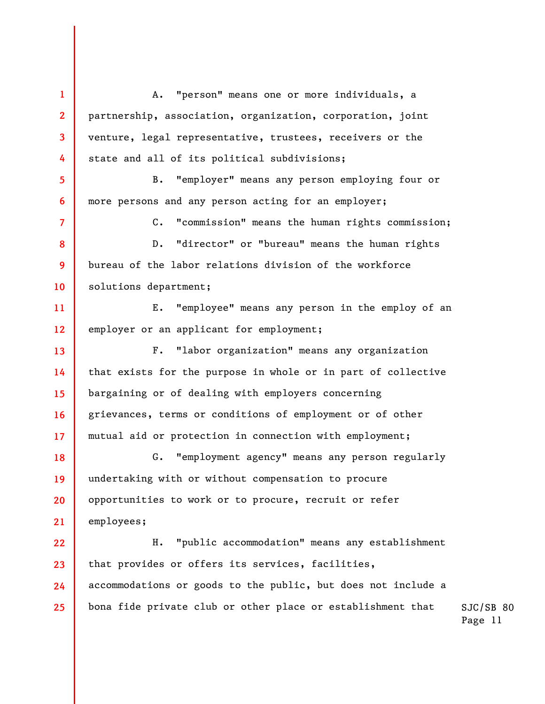1 2 3 4 5 6 7 8 9 10 11 12 13 14 15 16 17 18 19 20 21 22 23 24 25 A. "person" means one or more individuals, a partnership, association, organization, corporation, joint venture, legal representative, trustees, receivers or the state and all of its political subdivisions; B. "employer" means any person employing four or more persons and any person acting for an employer; C. "commission" means the human rights commission; D. "director" or "bureau" means the human rights bureau of the labor relations division of the workforce solutions department; E. "employee" means any person in the employ of an employer or an applicant for employment; F. "labor organization" means any organization that exists for the purpose in whole or in part of collective bargaining or of dealing with employers concerning grievances, terms or conditions of employment or of other mutual aid or protection in connection with employment; G. "employment agency" means any person regularly undertaking with or without compensation to procure opportunities to work or to procure, recruit or refer employees; H. "public accommodation" means any establishment that provides or offers its services, facilities, accommodations or goods to the public, but does not include a bona fide private club or other place or establishment that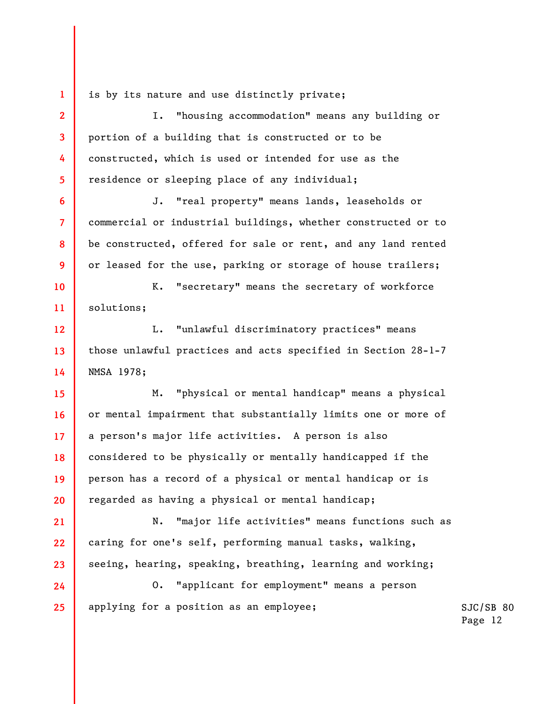is by its nature and use distinctly private;

1

2

3

5

6

7

8

9

10

11

21

22

23

4 I. "housing accommodation" means any building or portion of a building that is constructed or to be constructed, which is used or intended for use as the residence or sleeping place of any individual;

J. "real property" means lands, leaseholds or commercial or industrial buildings, whether constructed or to be constructed, offered for sale or rent, and any land rented or leased for the use, parking or storage of house trailers;

K. "secretary" means the secretary of workforce solutions;

12 13 14 L. "unlawful discriminatory practices" means those unlawful practices and acts specified in Section 28-1-7 NMSA 1978;

15 16 17 18 19 20 M. "physical or mental handicap" means a physical or mental impairment that substantially limits one or more of a person's major life activities. A person is also considered to be physically or mentally handicapped if the person has a record of a physical or mental handicap or is regarded as having a physical or mental handicap;

N. "major life activities" means functions such as caring for one's self, performing manual tasks, walking, seeing, hearing, speaking, breathing, learning and working;

24 25 O. "applicant for employment" means a person applying for a position as an employee;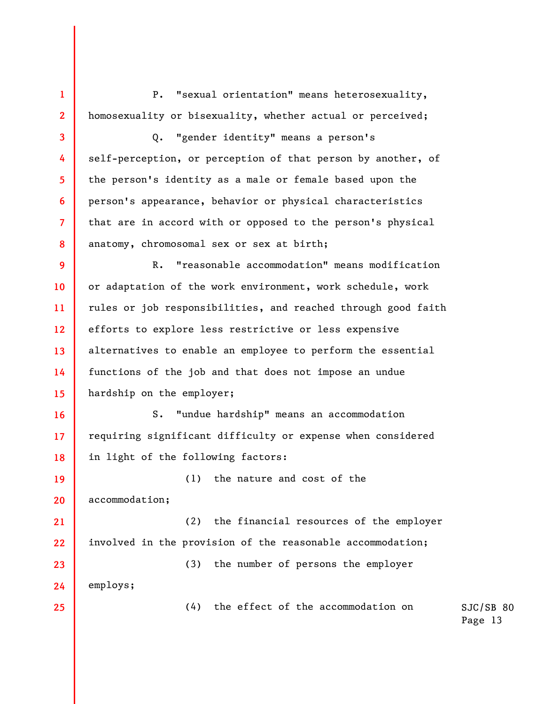P. "sexual orientation" means heterosexuality, homosexuality or bisexuality, whether actual or perceived;

Q. "gender identity" means a person's self-perception, or perception of that person by another, of the person's identity as a male or female based upon the person's appearance, behavior or physical characteristics that are in accord with or opposed to the person's physical anatomy, chromosomal sex or sex at birth;

9 10 11 12 13 14 15 R. "reasonable accommodation" means modification or adaptation of the work environment, work schedule, work rules or job responsibilities, and reached through good faith efforts to explore less restrictive or less expensive alternatives to enable an employee to perform the essential functions of the job and that does not impose an undue hardship on the employer;

16 17 18 S. "undue hardship" means an accommodation requiring significant difficulty or expense when considered in light of the following factors:

19 20 21 22 (1) the nature and cost of the accommodation; (2) the financial resources of the employer involved in the provision of the reasonable accommodation;

(3) the number of persons the employer

employs;

23

24

25

1

2

3

4

5

6

7

8

(4) the effect of the accommodation on